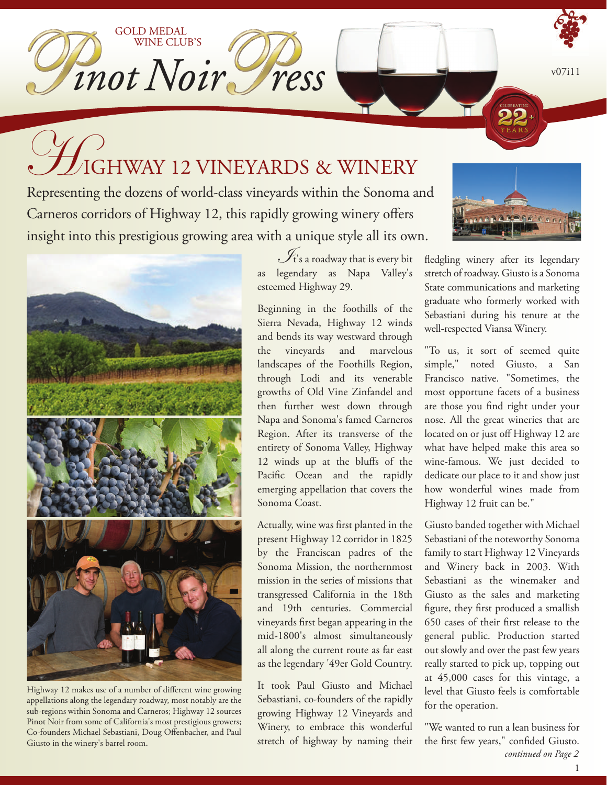$v07i11$ 

# Here You all Solid Transaction of the Sonoma and the Sonoma and the Sonoma and the Sonoma and  $\mathcal{H}_{\text{G}}$

GOLD MEDAL

WINE CLUB'S

mot Noir, ress

Representing the dozens of world-class vineyards within the Sonoma and Carneros corridors of Highway 12, this rapidly growing winery offers insight into this prestigious growing area with a unique style all its own.



Highway 12 makes use of a number of different wine growing appellations along the legendary roadway, most notably are the sub-regions within Sonoma and Carneros; Highway 12 sources Pinot Noir from some of California's most prestigious growers; Co-founders Michael Sebastiani, Doug Offenbacher, and Paul Giusto in the winery's barrel room.

 $\mathscr{I}_{\mathrm{t's}}$  a roadway that is every bit as legendary as Napa Valley's esteemed Highway 29.

Beginning in the foothills of the Sierra Nevada, Highway 12 winds and bends its way westward through the vineyards and marvelous landscapes of the Foothills Region, through Lodi and its venerable growths of Old Vine Zinfandel and then further west down through Napa and Sonoma's famed Carneros Region. After its transverse of the entirety of Sonoma Valley, Highway 12 winds up at the bluffs of the Pacific Ocean and the rapidly emerging appellation that covers the Sonoma Coast.

Actually, wine was first planted in the present Highway 12 corridor in 1825 by the Franciscan padres of the Sonoma Mission, the northernmost mission in the series of missions that transgressed California in the 18th and 19th centuries. Commercial vineyards first began appearing in the mid-1800's almost simultaneously all along the current route as far east as the legendary '49er Gold Country.

It took Paul Giusto and Michael Sebastiani, co-founders of the rapidly growing Highway 12 Vineyards and Winery, to embrace this wonderful stretch of highway by naming their



fledgling winery after its legendary stretch of roadway. Giusto is a Sonoma State communications and marketing graduate who formerly worked with Sebastiani during his tenure at the well-respected Viansa Winery.

"To us, it sort of seemed quite simple," noted Giusto, a San Francisco native. "Sometimes, the most opportune facets of a business are those you find right under your nose. All the great wineries that are located on or just off Highway 12 are what have helped make this area so wine-famous. We just decided to dedicate our place to it and show just how wonderful wines made from Highway 12 fruit can be."

Giusto banded together with Michael Sebastiani of the noteworthy Sonoma family to start Highway 12 Vineyards and Winery back in 2003. With Sebastiani as the winemaker and Giusto as the sales and marketing figure, they first produced a smallish 650 cases of their first release to the general public. Production started out slowly and over the past few years really started to pick up, topping out at 45,000 cases for this vintage, a level that Giusto feels is comfortable for the operation.

"We wanted to run a lean business for the first few years," confided Giusto. *continued on Page 2*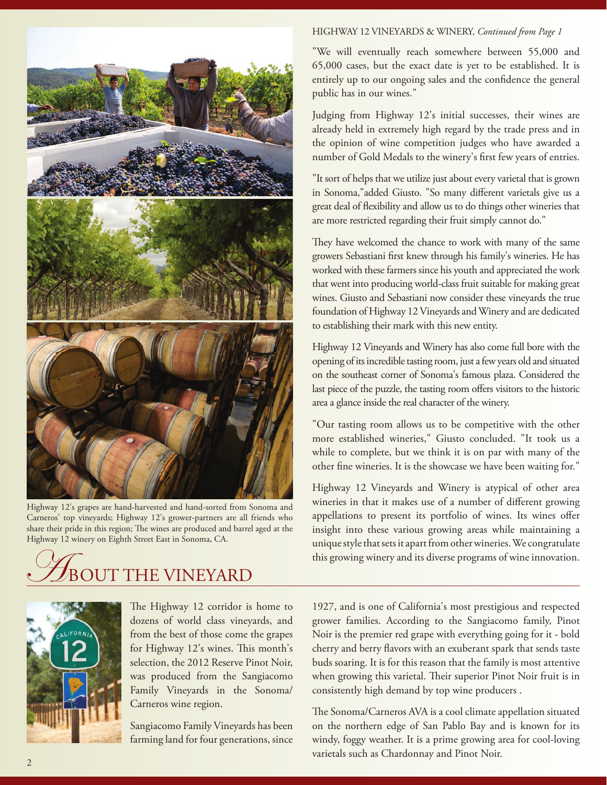

Highway 12's grapes are hand-harvested and hand-sorted from Sonoma and Carneros' top vineyards; Highway 12's grower-partners are all friends who share their pride in this region; The wines are produced and barrel aged at the Highway 12 winery on Eighth Street East in Sonoma, CA.

### UT THE VINEYARD



The Highway 12 corridor is home to dozens of world class vineyards, and from the best of those come the grapes for Highway 12's wines. This month's selection, the 2012 Reserve Pinot Noir, was produced from the Sangiacomo Family Vineyards in the Sonoma/ Carneros wine region.

Sangiacomo Family Vineyards has been farming land for four generations, since

#### HIGHWAY 12 VINEYARDS & WINERY, *Continued from Page 1*

"We will eventually reach somewhere between 55,000 and 65,000 cases, but the exact date is yet to be established. It is entirely up to our ongoing sales and the confidence the general public has in our wines."

Judging from Highway 12's initial successes, their wines are already held in extremely high regard by the trade press and in the opinion of wine competition judges who have awarded a number of Gold Medals to the winery's first few years of entries.

"It sort of helps that we utilize just about every varietal that is grown in Sonoma,"added Giusto. "So many different varietals give us a great deal of flexibility and allow us to do things other wineries that are more restricted regarding their fruit simply cannot do."

They have welcomed the chance to work with many of the same growers Sebastiani first knew through his family's wineries. He has worked with these farmers since his youth and appreciated the work that went into producing world-class fruit suitable for making great wines. Giusto and Sebastiani now consider these vineyards the true foundation of Highway 12 Vineyards and Winery and are dedicated to establishing their mark with this new entity.

Highway 12 Vineyards and Winery has also come full bore with the opening of its incredible tasting room, just a few years old and situated on the southeast corner of Sonoma's famous plaza. Considered the last piece of the puzzle, the tasting room offers visitors to the historic area a glance inside the real character of the winery.

"Our tasting room allows us to be competitive with the other more established wineries," Giusto concluded. "It took us a while to complete, but we think it is on par with many of the other fine wineries. It is the showcase we have been waiting for."

Highway 12 Vineyards and Winery is atypical of other area wineries in that it makes use of a number of different growing appellations to present its portfolio of wines. Its wines offer insight into these various growing areas while maintaining a unique style that sets it apart from other wineries. We congratulate this growing winery and its diverse programs of wine innovation.

1927, and is one of California's most prestigious and respected grower families. According to the Sangiacomo family, Pinot Noir is the premier red grape with everything going for it - bold cherry and berry flavors with an exuberant spark that sends taste buds soaring. It is for this reason that the family is most attentive when growing this varietal. Their superior Pinot Noir fruit is in consistently high demand by top wine producers .

The Sonoma/Carneros AVA is a cool climate appellation situated on the northern edge of San Pablo Bay and is known for its windy, foggy weather. It is a prime growing area for cool-loving varietals such as Chardonnay and Pinot Noir.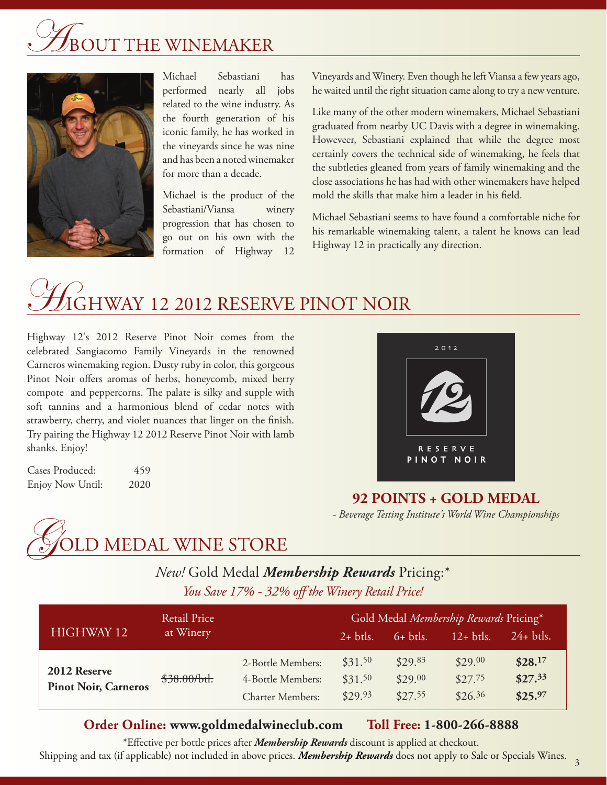# T THE WINEMAKER



Michael Sebastiani has performed nearly all jobs related to the wine industry. As the fourth generation of his iconic family, he has worked in the vineyards since he was nine and has been a noted winemaker for more than a decade.

Michael is the product of the Sebastiani/Viansa winery progression that has chosen to go out on his own with the formation of Highway 12

Vineyards and Winery. Even though he left Viansa a few years ago, he waited until the right situation came along to try a new venture.

Like many of the other modern winemakers, Michael Sebastiani graduated from nearby UC Davis with a degree in winemaking. Howeveer, Sebastiani explained that while the degree most certainly covers the technical side of winemaking, he feels that the subtleties gleaned from years of family winemaking and the close associations he has had with other winemakers have helped mold the skills that make him a leader in his field.

Michael Sebastiani seems to have found a comfortable niche for his remarkable winemaking talent, a talent he knows can lead Highway 12 in practically any direction.

## GHWAY 12 2012 RESERVE PINOT NOIR

Highway 12's 2012 Reserve Pinot Noir comes from the celebrated Sangiacomo Family Vineyards in the renowned Carneros winemaking region. Dusty ruby in color, this gorgeous Pinot Noir offers aromas of herbs, honeycomb, mixed berry compote and peppercorns. The palate is silky and supple with soft tannins and a harmonious blend of cedar notes with strawberry, cherry, and violet nuances that linger on the finish. Try pairing the Highway 12 2012 Reserve Pinot Noir with lamb shanks. Enjoy!

Cases Produced: 459 Enjoy Now Until: 2020



**92 POINTS + GOLD MEDAL** *- Beverage Testing Institute's World Wine Championships*



#### *You Save 17% - 32% off the Winery Retail Price! New!* Gold Medal *Membership Rewards* Pricing:\*

| HIGHWAY 12                                  | <b>Retail Price</b><br>at Winery |                                                                   | Gold Medal Membership Rewards Pricing* |                               |                               |                               |
|---------------------------------------------|----------------------------------|-------------------------------------------------------------------|----------------------------------------|-------------------------------|-------------------------------|-------------------------------|
|                                             |                                  |                                                                   | $2+$ btls.                             | $6+$ btls.                    | $12+$ btls.                   | $24+$ btls.                   |
| 2012 Reserve<br><b>Pinot Noir, Carneros</b> | \$38.00/bt.                      | 2-Bottle Members:<br>4-Bottle Members:<br><b>Charter Members:</b> | \$31.50<br>\$31.50<br>\$29.93          | \$29.83<br>\$29.00<br>\$27.55 | \$29.00<br>\$27.75<br>\$26.36 | \$28.17<br>\$27.33<br>\$25.97 |

#### **Order Online: www.goldmedalwineclub.com Toll Free: 1-800-266-8888**

\*Effective per bottle prices after *Membership Rewards* discount is applied at checkout. Shipping and tax (if applicable) not included in above prices. *Membership Rewards* does not apply to Sale or Specials Wines.